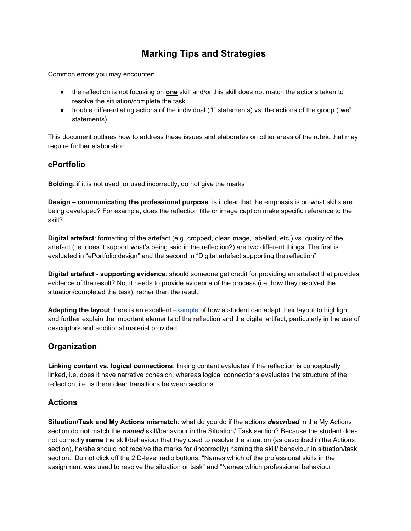# **Marking Tips and Strategies**

Common errors you may encounter:

- the reflection is not focusing on **one** skill and/or this skill does not match the actions taken to resolve the situation/complete the task
- trouble differentiating actions of the individual ("I" statements) vs. the actions of the group ("we" statements)

This document outlines how to address these issues and elaborates on other areas of the rubric that may require further elaboration.

#### **ePortfolio**

**Bolding**: if it is not used, or used incorrectly, do not give the marks

**Design – communicating the professional purpose**: is it clear that the emphasis is on what skills are being developed? For example, does the reflection title or image caption make specific reference to the skill?

**Digital artefact**: formatting of the artefact (e.g. cropped, clear image, labelled, etc.) vs. quality of the artefact (i.e. does it support what's being said in the reflection?) are two different things. The first is evaluated in "ePortfolio design" and the second in "Digital artefact supporting the reflection"

**Digital artefact - supporting evidence**: should someone get credit for providing an artefact that provides evidence of the result? No, it needs to provide evidence of the process (i.e. how they resolved the situation/completed the task), rather than the result.

**Adapting the layout**: here is an excellent [example](http://k224liu.wixsite.com/k224liu/projects) of how a student can adapt their layout to highlight and further explain the important elements of the reflection and the digital artifact, particularly in the use of descriptors and additional material provided.

## **Organization**

**Linking content vs. logical connections**: linking content evaluates if the reflection is conceptually linked, i.e. does it have narrative cohesion; whereas logical connections evaluates the structure of the reflection, i.e. is there clear transitions between sections

## **Actions**

**Situation/Task and My Actions mismatch**: what do you do if the actions *described* in the My Actions section do not match the *named* skill/behaviour in the Situation/ Task section? Because the student does not correctly **name** the skill/behaviour that they used to resolve the situation (as described in the Actions section), he/she should not receive the marks for (incorrectly) naming the skill/ behaviour in situation/task section. Do not click off the 2 D-level radio buttons, "Names which of the professional skills in the assignment was used to resolve the situation or task" and "Names which professional behaviour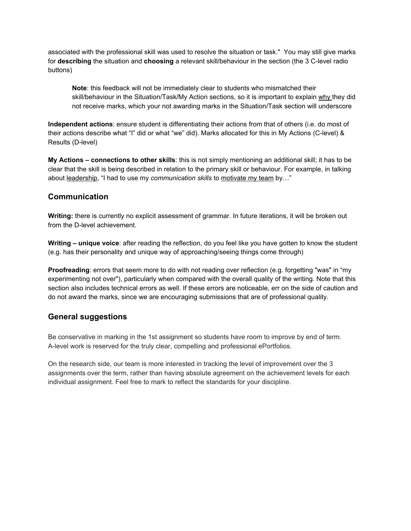associated with the professional skill was used to resolve the situation or task." You may still give marks for **describing** the situation and **choosing** a relevant skill/behaviour in the section (the 3 C-level radio buttons)

**Note**: this feedback will not be immediately clear to students who mismatched their skill/behaviour in the Situation/Task/My Action sections, so it is important to explain why they did not receive marks, which your not awarding marks in the Situation/Task section will underscore

**Independent actions**: ensure student is differentiating their actions from that of others (i.e. do most of their actions describe what "I" did or what "we" did). Marks allocated for this in My Actions (C-level) & Results (D-level)

**My Actions – connections to other skills**: this is not simply mentioning an additional skill; it has to be clear that the skill is being described in relation to the primary skill or behaviour. For example, in talking about leadership, "I had to use my *communication skills* to motivate my team by…"

### **Communication**

**Writing:** there is currently no explicit assessment of grammar. In future iterations, it will be broken out from the D-level achievement.

**Writing – unique voice**: after reading the reflection, do you feel like you have gotten to know the student (e.g. has their personality and unique way of approaching/seeing things come through)

**Proofreading**: errors that seem more to do with not reading over reflection (e.g. forgetting "was" in "my experimenting not over"), particularly when compared with the overall quality of the writing. Note that this section also includes technical errors as well. If these errors are noticeable, err on the side of caution and do not award the marks, since we are encouraging submissions that are of professional quality.

#### **General suggestions**

Be conservative in marking in the 1st assignment so students have room to improve by end of term. A-level work is reserved for the truly clear, compelling and professional ePortfolios.

On the research side, our team is more interested in tracking the level of improvement over the 3 assignments over the term, rather than having absolute agreement on the achievement levels for each individual assignment. Feel free to mark to reflect the standards for your discipline.